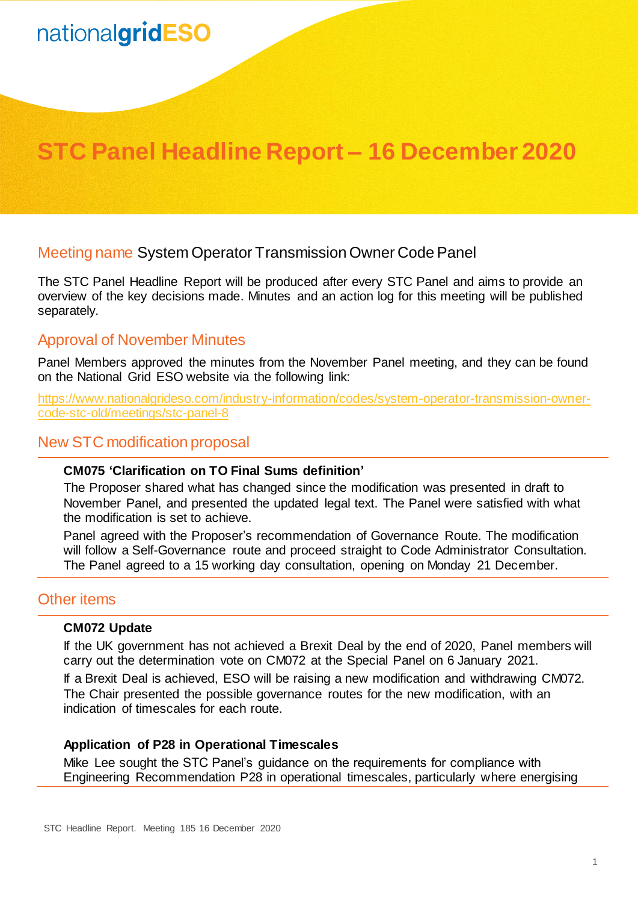# nationalgridESO

## **STC Panel Headline Report – 16 December 2020**

### Meeting name System Operator Transmission Owner Code Panel

The STC Panel Headline Report will be produced after every STC Panel and aims to provide an overview of the key decisions made. Minutes and an action log for this meeting will be published separately.

#### Approval of November Minutes

Panel Members approved the minutes from the November Panel meeting, and they can be found on the National Grid ESO website via the following link:

[https://www.nationalgrideso.com/industry-information/codes/system-operator-transmission-owner](https://www.nationalgrideso.com/industry-information/codes/system-operator-transmission-owner-code-stc-old/meetings/stc-panel-8)[code-stc-old/meetings/stc-panel-8](https://www.nationalgrideso.com/industry-information/codes/system-operator-transmission-owner-code-stc-old/meetings/stc-panel-8)

#### New STC modification proposal

#### **CM075 'Clarification on TO Final Sums definition'**

The Proposer shared what has changed since the modification was presented in draft to November Panel, and presented the updated legal text. The Panel were satisfied with what the modification is set to achieve.

Panel agreed with the Proposer's recommendation of Governance Route. The modification will follow a Self-Governance route and proceed straight to Code Administrator Consultation. The Panel agreed to a 15 working day consultation, opening on Monday 21 December.

#### Other items

#### **CM072 Update**

If the UK government has not achieved a Brexit Deal by the end of 2020, Panel members will carry out the determination vote on CM072 at the Special Panel on 6 January 2021.

If a Brexit Deal is achieved, ESO will be raising a new modification and withdrawing CM072. The Chair presented the possible governance routes for the new modification, with an indication of timescales for each route.

#### **Application of P28 in Operational Timescales**

Mike Lee sought the STC Panel's guidance on the requirements for compliance with Engineering Recommendation P28 in operational timescales, particularly where energising